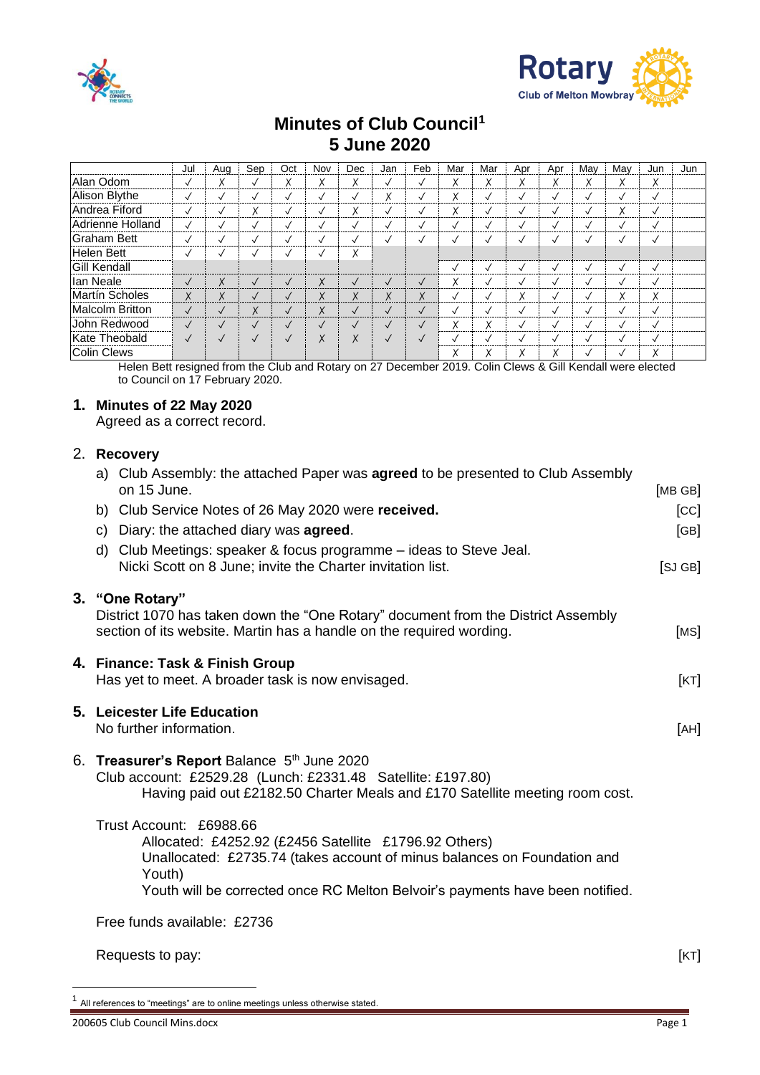



# **Minutes of Club Council<sup>1</sup> 5 June 2020**

|                        | Jul          | Aug           | Sep          | Oct          | Nov          | Dec                       | Jan          | Feb          | Mar                | Mar               | Apr     | Apr          | Mav          | Mav          | Jun          | Jun |
|------------------------|--------------|---------------|--------------|--------------|--------------|---------------------------|--------------|--------------|--------------------|-------------------|---------|--------------|--------------|--------------|--------------|-----|
| Alan Odom              | ✓            | v             | $\checkmark$ | Χ            | Χ            | $\checkmark$<br>$\lambda$ | $\checkmark$ | $\checkmark$ | $\checkmark$<br>Λ. | ^                 | ∧       | ∧            | ^            | v            | Χ            |     |
| Alison Blythe          | $\checkmark$ | $\checkmark$  | $\checkmark$ | $\checkmark$ | √            | $\checkmark$              | Χ            | √            | v                  |                   | $\cdot$ | $\checkmark$ | $\checkmark$ | $\checkmark$ | $\checkmark$ |     |
| Andrea Fiford          | ✓            | $\checkmark$  | Χ            | $\checkmark$ | √            | X                         | $\checkmark$ | $\checkmark$ | Χ                  |                   | $\cdot$ | $\checkmark$ | $\checkmark$ | Χ            | $\checkmark$ |     |
| Adrienne Holland       | $\checkmark$ | $\checkmark$  | $\checkmark$ | $\checkmark$ | $\checkmark$ | $\checkmark$              | $\checkmark$ | ✓            |                    |                   | $\cdot$ | $\sqrt{}$    | $\cdot$      | $\checkmark$ | $\checkmark$ |     |
| <b>Graham Bett</b>     | ✓            | $\checkmark$  | √            | √            | $\checkmark$ | $\checkmark$              | √            | √            |                    |                   |         |              | $\checkmark$ | $\checkmark$ | $\checkmark$ |     |
| Helen Bett             | $\checkmark$ | $\checkmark$  | $\checkmark$ | $\checkmark$ |              | Χ                         |              |              |                    |                   |         |              |              |              |              |     |
| <b>Gill Kendall</b>    |              |               |              |              |              |                           |              |              |                    |                   |         | $\checkmark$ | $\checkmark$ | $\checkmark$ | $\checkmark$ |     |
| lan Neale              | $\checkmark$ | X             | $\sqrt{}$    | $\checkmark$ | X            | $\checkmark$              | $\checkmark$ | $\checkmark$ | $\checkmark$<br>Λ. |                   |         |              | $\checkmark$ | $\checkmark$ | $\checkmark$ |     |
| <b>Martín Scholes</b>  | X            | X             | $\sqrt{ }$   | $\checkmark$ | X            | X                         | X            | X            | ✓                  |                   | v<br>∧  | $\checkmark$ | $\checkmark$ | X            | X            |     |
| <b>Malcolm Britton</b> | $\checkmark$ | $\checkmark$  | X            | $\checkmark$ | X            | $\checkmark$              | $\checkmark$ | $\checkmark$ |                    |                   | $\cdot$ | $\checkmark$ | $\checkmark$ | $\checkmark$ | $\checkmark$ |     |
| John Redwood           | $\checkmark$ | $\checkmark$  | $\checkmark$ | $\checkmark$ | $\checkmark$ | $\checkmark$              | $\checkmark$ | $\checkmark$ | v                  | $\checkmark$<br>^ | $\cdot$ | $\checkmark$ | $\checkmark$ | $\checkmark$ | $\checkmark$ |     |
| Kate Theobald          | $\sqrt{}$    | $\sqrt{}$     | $\sqrt{}$    | $\sqrt{ }$   | X            | X                         | $\checkmark$ | $\sqrt{ }$   |                    |                   |         |              | $\checkmark$ | $\checkmark$ | $\sqrt{2}$   |     |
| <b>Colin Clews</b>     |              | $\sim$ $\sim$ |              | - - -        |              |                           |              |              |                    |                   |         |              |              | $\checkmark$ | Χ            |     |

Helen Bett resigned from the Club and Rotary on 27 December 2019. Colin Clews & Gill Kendall were elected to Council on 17 February 2020.

### **1. Minutes of 22 May 2020**

Agreed as a correct record.

## 2. **Recovery**

| a) Club Assembly: the attached Paper was <b>agreed</b> to be presented to Club Assembly<br>on 15 June.                                                                                                                                                  | [MB GB] |
|---------------------------------------------------------------------------------------------------------------------------------------------------------------------------------------------------------------------------------------------------------|---------|
| b) Club Service Notes of 26 May 2020 were received.                                                                                                                                                                                                     | [CC]    |
| c) Diary: the attached diary was agreed.                                                                                                                                                                                                                | [GB]    |
| d) Club Meetings: speaker & focus programme – ideas to Steve Jeal.<br>Nicki Scott on 8 June; invite the Charter invitation list.                                                                                                                        | [SJ GB] |
| 3. "One Rotary"<br>District 1070 has taken down the "One Rotary" document from the District Assembly<br>section of its website. Martin has a handle on the required wording.                                                                            | [MS]    |
| 4. Finance: Task & Finish Group<br>Has yet to meet. A broader task is now envisaged.                                                                                                                                                                    | [KT]    |
| 5. Leicester Life Education<br>No further information.                                                                                                                                                                                                  | [AH]    |
| 6. Treasurer's Report Balance 5th June 2020<br>Club account: £2529.28 (Lunch: £2331.48 Satellite: £197.80)<br>Having paid out £2182.50 Charter Meals and £170 Satellite meeting room cost.                                                              |         |
| Trust Account: £6988.66<br>Allocated: £4252.92 (£2456 Satellite £1796.92 Others)<br>Unallocated: £2735.74 (takes account of minus balances on Foundation and<br>Youth)<br>Youth will be corrected once RC Melton Belvoir's payments have been notified. |         |
| Free funds available: £2736                                                                                                                                                                                                                             |         |
|                                                                                                                                                                                                                                                         |         |

Requests to pay: [KT]

1 All references to "meetings" are to online meetings unless otherwise stated.